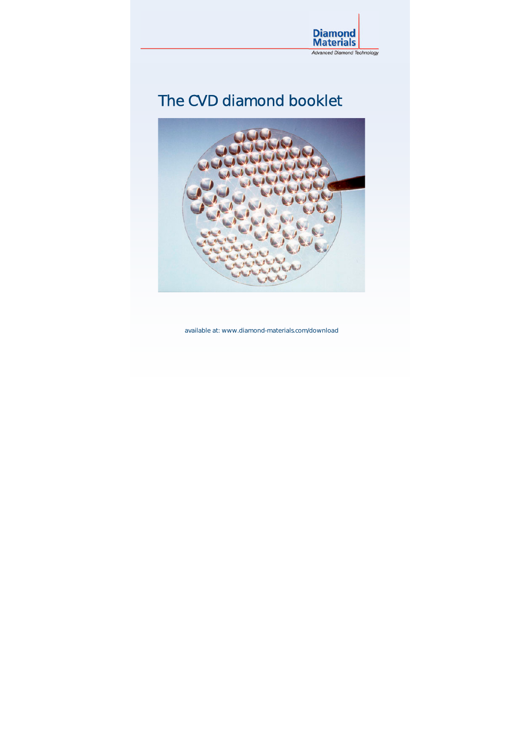



available at: www.diamond-materials.com/download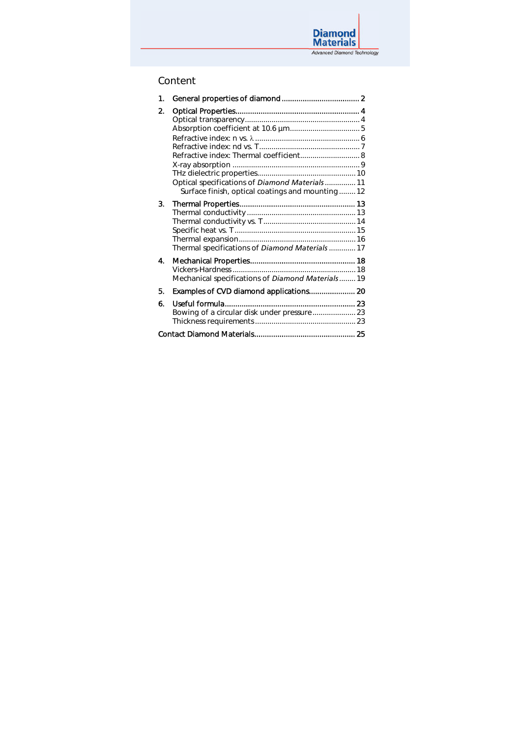

# Content

| Absorption coefficient at 10.6 µm 5<br>Refractive index: Thermal coefficient 8<br>Optical specifications of Diamond Materials  11<br>Surface finish, optical coatings and mounting 12<br>Thermal specifications of Diamond Materials  17<br>Mechanical specifications of Diamond Materials 19<br><b>Examples of CVD diamond applications 20</b><br>Bowing of a circular disk under pressure 23 |
|------------------------------------------------------------------------------------------------------------------------------------------------------------------------------------------------------------------------------------------------------------------------------------------------------------------------------------------------------------------------------------------------|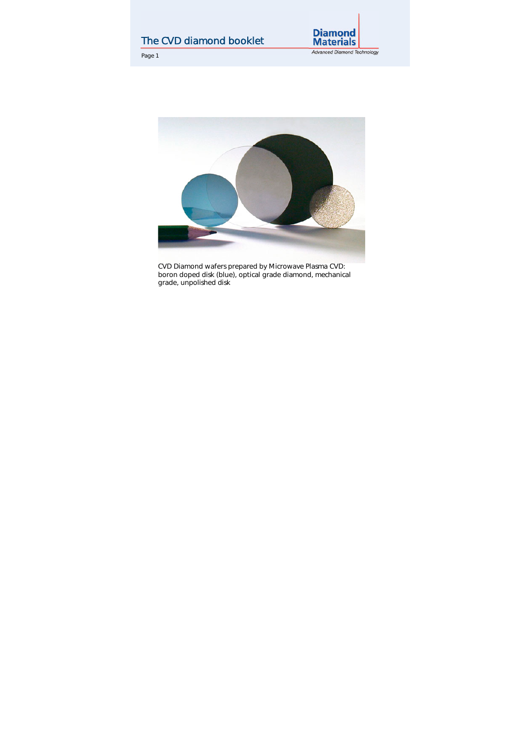

#### Page 1

Advanced Diamond Technology



CVD Diamond wafers prepared by Microwave Plasma CVD: boron doped disk (blue), optical grade diamond, mechanical grade, unpolished disk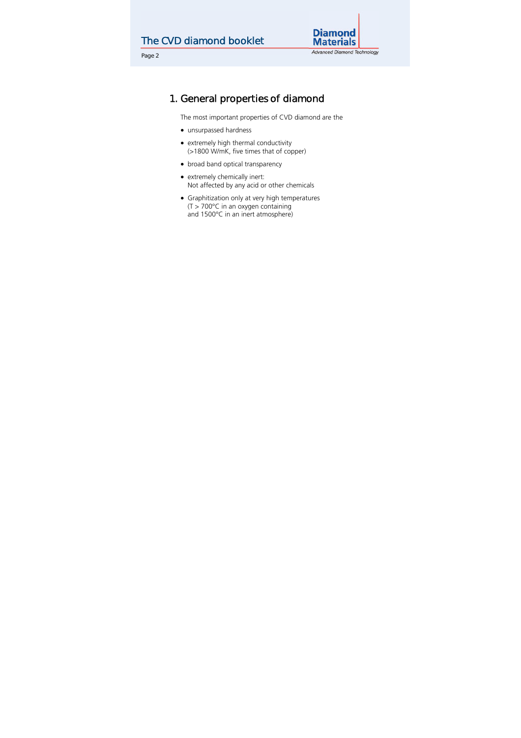

#### Page 2

# 1. General properties of diamond

The most important properties of CVD diamond are the

- unsurpassed hardness
- extremely high thermal conductivity (>1800 W/mK, five times that of copper)
- broad band optical transparency
- extremely chemically inert: Not affected by any acid or other chemicals
- Graphitization only at very high temperatures (T > 700°C in an oxygen containing and 1500°C in an inert atmosphere)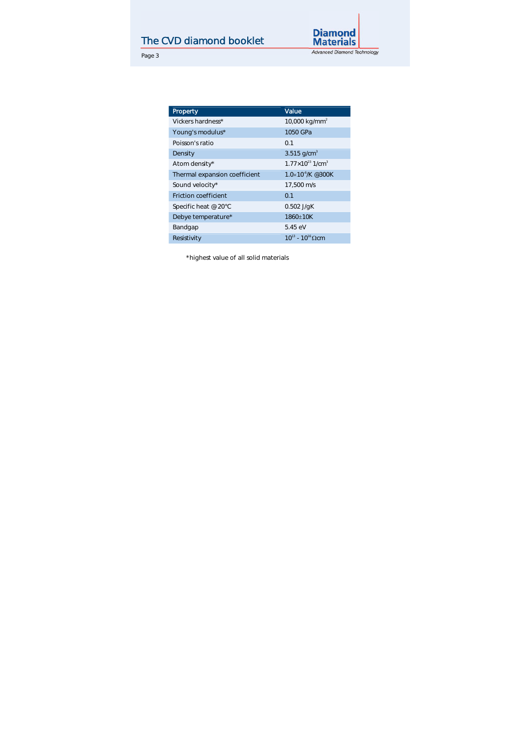

#### Page 3

Advanced Diamond Technology

| <b>Property</b>                      | <b>Value</b>                            |
|--------------------------------------|-----------------------------------------|
| <b>Vickers hardness*</b>             | 10,000 kg/mm <sup>2</sup>               |
| Young's modulus*                     | <b>1050 GPa</b>                         |
| <b>Poisson's ratio</b>               | 0.1                                     |
| <b>Density</b>                       | $3.515$ g/cm <sup>3</sup>               |
| <b>Atom density*</b>                 | $1.77 \times 10^{23}$ 1/cm <sup>3</sup> |
| <b>Thermal expansion coefficient</b> | $1.0 \times 10^{4}$ /K @300K            |
| Sound velocity*                      | 17,500 m/s                              |
| <b>Friction coefficient</b>          | 0.1                                     |
| Specific heat @ 20°C                 | $0.502$ J/gK                            |
| Debye temperature*                   | 1860+10K                                |
| <b>Bandgap</b>                       | 5.45 eV                                 |
| <b>Resistivity</b>                   | $10^{13}$ - $10^{16}$ Ocm               |

\*highest value of all solid materials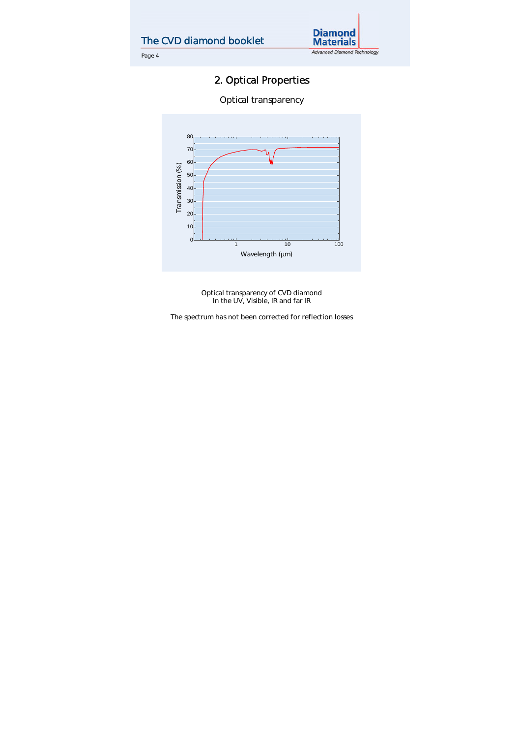



## 2. Optical Properties

### Optical transparency



#### Optical transparency of CVD diamond In the UV, Visible, IR and far IR

The spectrum has not been corrected for reflection losses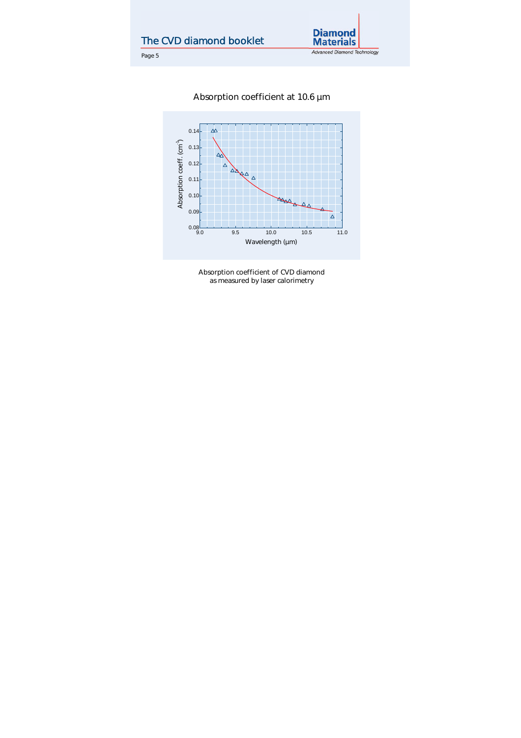



### Absorption coefficient at 10.6 µm



#### Absorption coefficient of CVD diamond as measured by laser calorimetry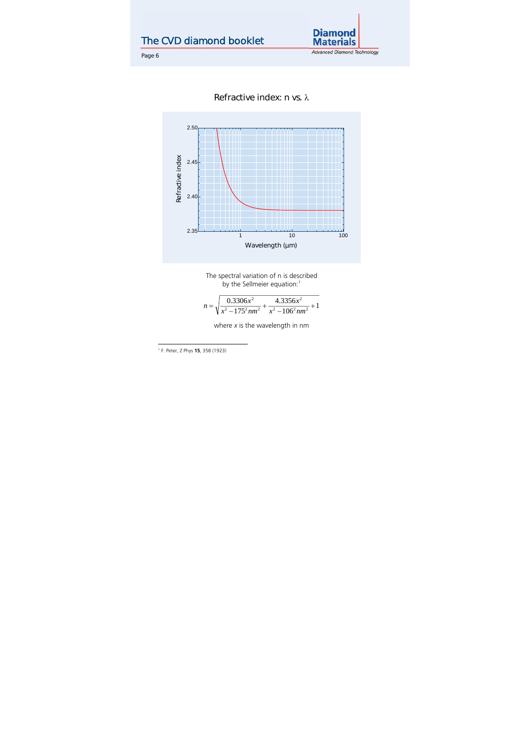



### Refractive index: n vs. λ



The spectral variation of n is described by the Sellmeier equation: $1$ 

$$
n = \sqrt{\frac{0.3306x^2}{x^2 - 175^2 nm^2} + \frac{4.3356x^2}{x^2 - 106^2 nm^2} + 1}
$$

where *x* is the wavelength in nm

-

<sup>1</sup> F. Peter, Z Phys **15**, 358 (1923)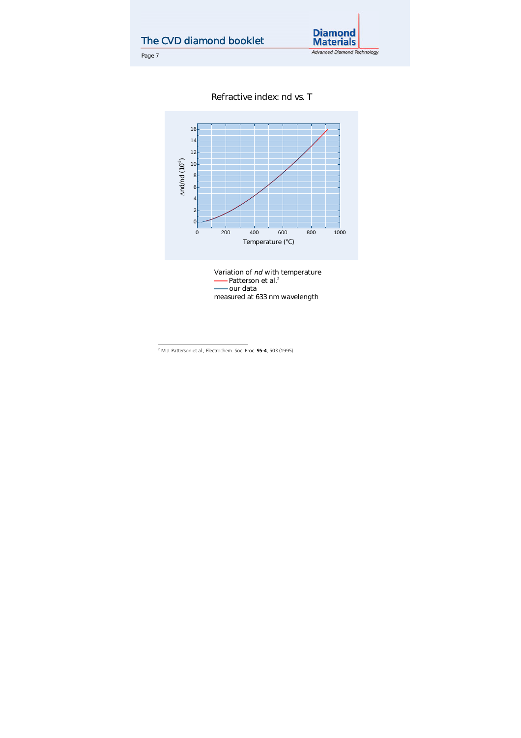



-



### Refractive index: nd vs. T

Variation of *nd* with temperature  $-$  Patterson et al.<sup>2</sup> our data measured at 633 nm wavelength

<sup>2</sup> M.J. Patterson et al., Electrochem. Soc. Proc. **95-4**, 503 (1995)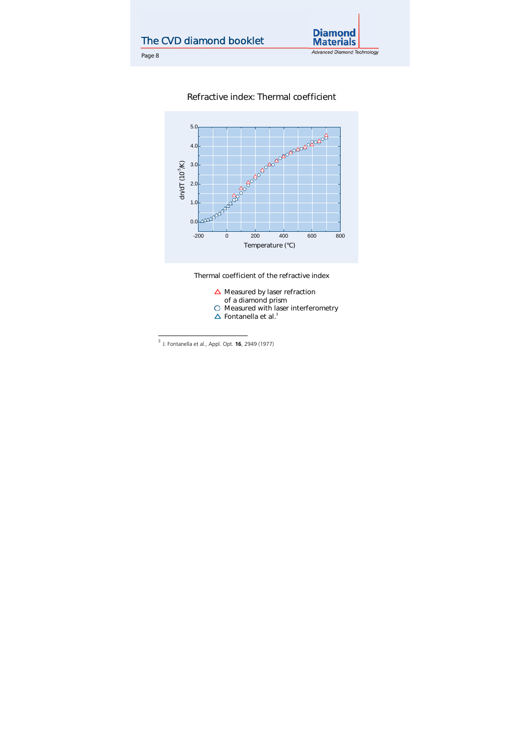



### Refractive index: Thermal coefficient



#### Thermal coefficient of the refractive index

- $\Delta$  Measured by laser refraction of a diamond prism
- $\bigcirc$  Measured with laser interferometry
- $\triangle$  Fontanella et al.<sup>3</sup>

-

<sup>3</sup> J. Fontanella et al., Appl. Opt. **16**, 2949 (1977)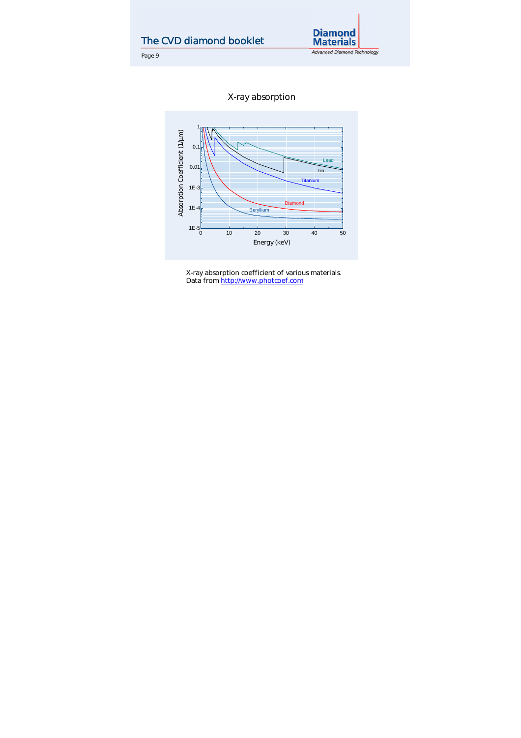



### X-ray absorption



X-ray absorption coefficient of various materials. Data from http://www.photcoef.com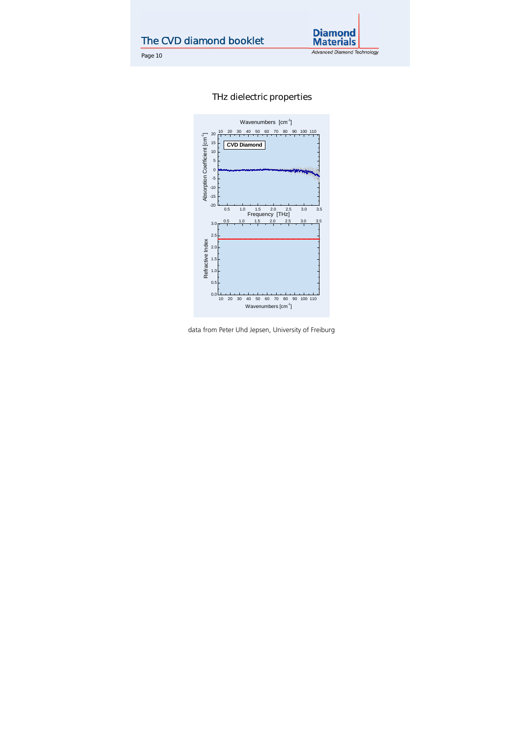



### THz dielectric properties



data from Peter Uhd Jepsen, University of Freiburg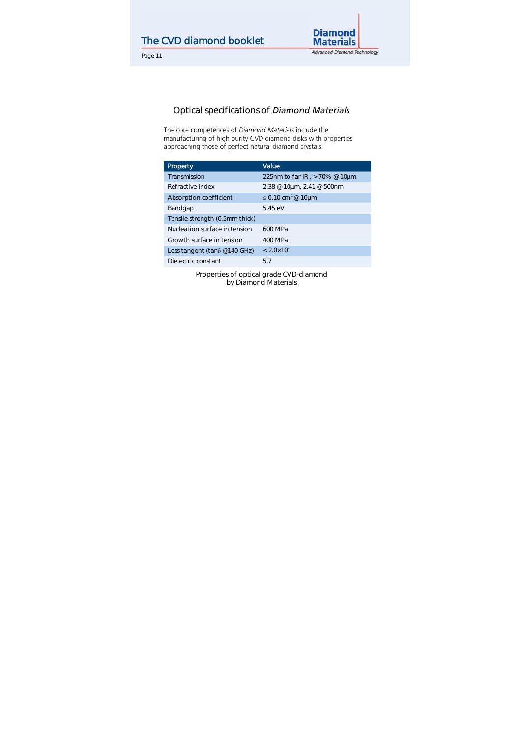

### Optical specifications of *Diamond Materials*

The core competences of *Diamond Materials* include the manufacturing of high purity CVD diamond disks with properties approaching those of perfect natural diamond crystals.

| <b>Property</b>                      | <b>Value</b>                        |
|--------------------------------------|-------------------------------------|
| <b>Transmission</b>                  | 225nm to far IR, > 70% @ 10µm       |
| <b>Refractive index</b>              | 2.38 @ 10µm, 2.41 @ 500nm           |
| <b>Absorption coefficient</b>        | $\leq$ 0.10 cm <sup>-1</sup> @ 10µm |
| <b>Bandgap</b>                       | 5.45 eV                             |
| Tensile strength (0.5mm thick)       |                                     |
| <b>Nucleation surface in tension</b> | <b>600 MPa</b>                      |
| <b>Growth surface in tension</b>     | <b>400 MPa</b>                      |
| Loss tangent (tan $\delta$ @140 GHz) | $< 2.0 \times 10^{-5}$              |
| Dielectric constant                  | 5.7                                 |

Properties of optical grade CVD-diamond by Diamond Materials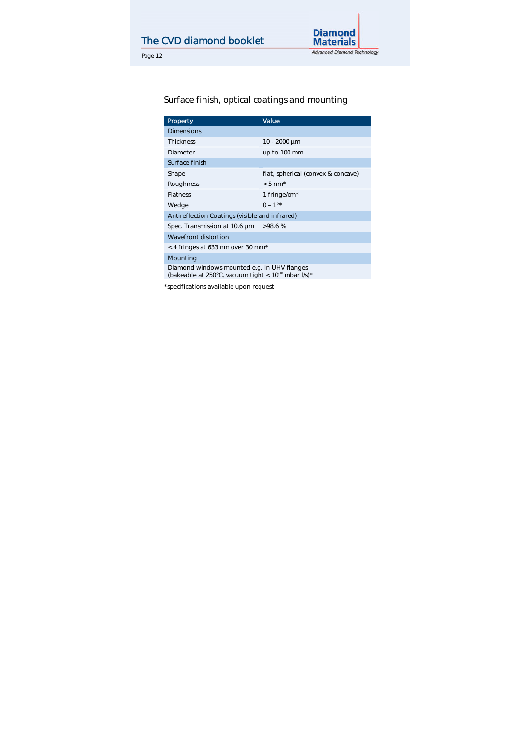

### Surface finish, optical coatings and mounting

| <b>Property</b>                                                                                                | <b>Value</b>                       |
|----------------------------------------------------------------------------------------------------------------|------------------------------------|
| <b>Dimensions</b>                                                                                              |                                    |
| <b>Thickness</b>                                                                                               | 10 - 2000 µm                       |
| <b>Diameter</b>                                                                                                | up to 100 mm                       |
| <b>Surface finish</b>                                                                                          |                                    |
| <b>Shape</b>                                                                                                   | flat, spherical (convex & concave) |
| <b>Roughness</b>                                                                                               | $< 5$ nm <sup>*</sup>              |
| <b>Flatness</b>                                                                                                | 1 fringe/cm*                       |
| Wedge                                                                                                          | $0 - 10*$                          |
| <b>Antireflection Coatings (visible and infrared)</b>                                                          |                                    |
| Spec. Transmission at 10.6 µm                                                                                  | >98.6%                             |
| <b>Wavefront distortion</b>                                                                                    |                                    |
| < 4 fringes at 633 nm over 30 mm*                                                                              |                                    |
| <b>Mounting</b>                                                                                                |                                    |
| Diamond windows mounted e.g. in UHV flanges<br>(bakeable at 250°C, vacuum tight < 10 <sup>-10</sup> mbar I/s)* |                                    |

\*specifications available upon request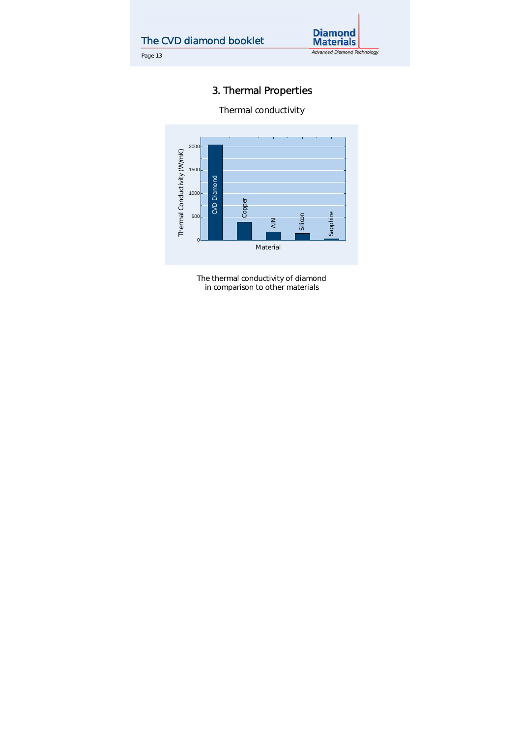



# 3. Thermal Properties

### Thermal conductivity



The thermal conductivity of diamond in comparison to other materials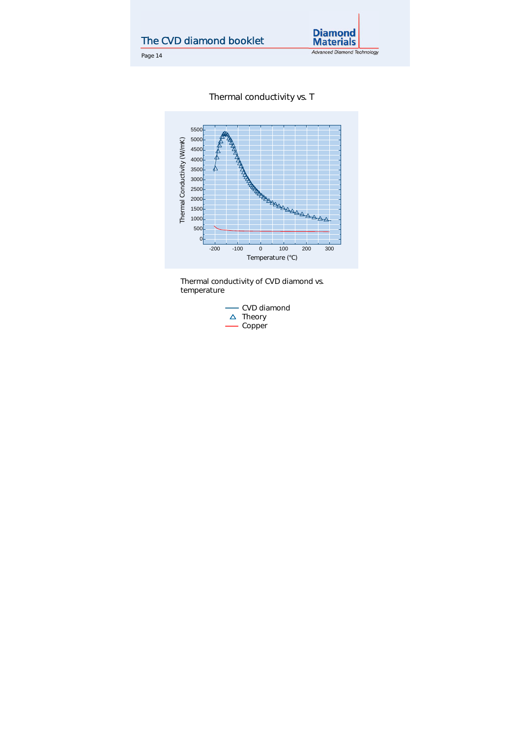



### 5500 5000 Thermal Conductivity (W/mK) Thermal Conductivity (W/mK) 4500 4000 3500 3000 2500 2000 A 1500 1000 500  $\Omega$ -200 -100 0 100 200 300 Temperature (°C)

### Thermal conductivity vs. T

Thermal conductivity of CVD diamond vs. temperature

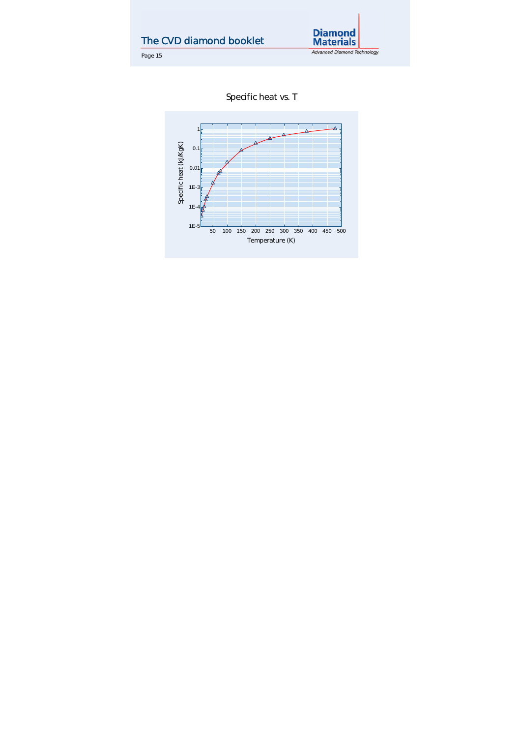



# 1 Specific heat (Id/KgK) Specific heat (kJ/KgK) 0.1 0.01 1E-3 1E-4 1E-5<br>50 100 150 200 250 300 350 400 450 500 Temperature (K)

### Specific heat vs. T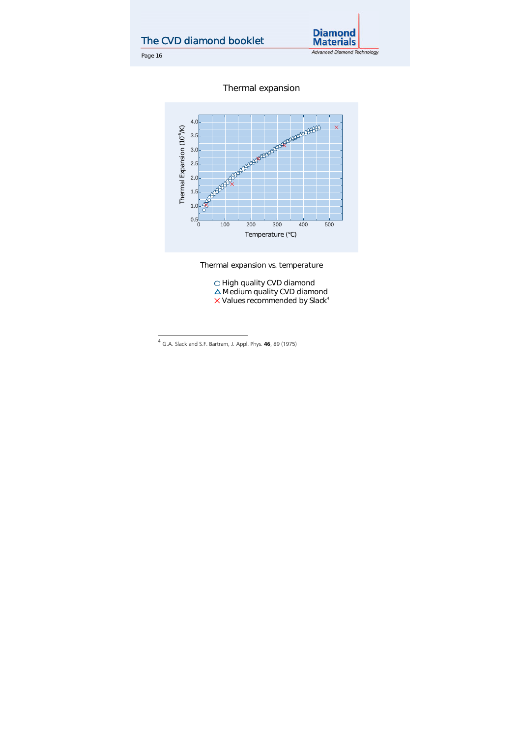



<u>.</u>

### Thermal expansion



#### Thermal expansion vs. temperature

O High quality CVD diamond  $\triangle$  Medium quality CVD diamond  $\times$  Values recommended by Slack<sup>4</sup>

<sup>4</sup> G.A. Slack and S.F. Bartram, J. Appl. Phys. **46**, 89 (1975)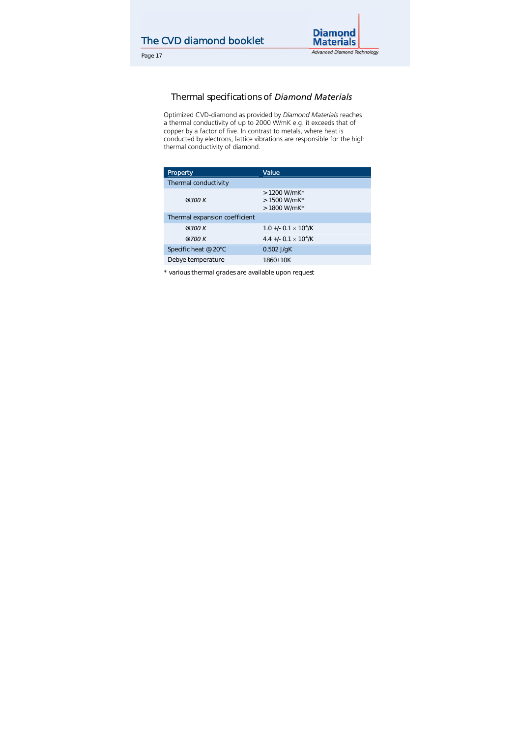

### Thermal specifications of *Diamond Materials*

Optimized CVD-diamond as provided by *Diamond Materials* reaches a thermal conductivity of up to 2000 W/mK e.g. it exceeds that of copper by a factor of five. In contrast to metals, where heat is conducted by electrons, lattice vibrations are responsible for the high thermal conductivity of diamond.

| <b>Property</b>                      | <b>Value</b>                                 |
|--------------------------------------|----------------------------------------------|
| <b>Thermal conductivity</b>          |                                              |
| @300 K                               | > 1200 W/mK*<br>> 1500 W/mK*<br>> 1800 W/mK* |
| <b>Thermal expansion coefficient</b> |                                              |
| @300 K                               | 1.0 +/- 0.1 $\times$ 10 <sup>-6</sup> /K     |
| @700K                                | 4.4 +/- 0.1 $\times$ 10 <sup>-6</sup> /K     |
| Specific heat @ 20°C                 | $0.502$ J/qK                                 |
| Debye temperature                    | 1860+10K                                     |

\* various thermal grades are available upon request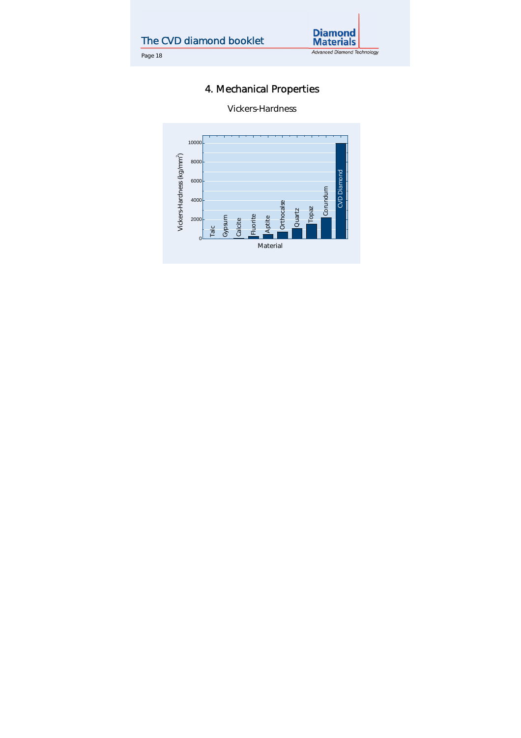



# 4. Mechanical Properties

### Vickers-Hardness

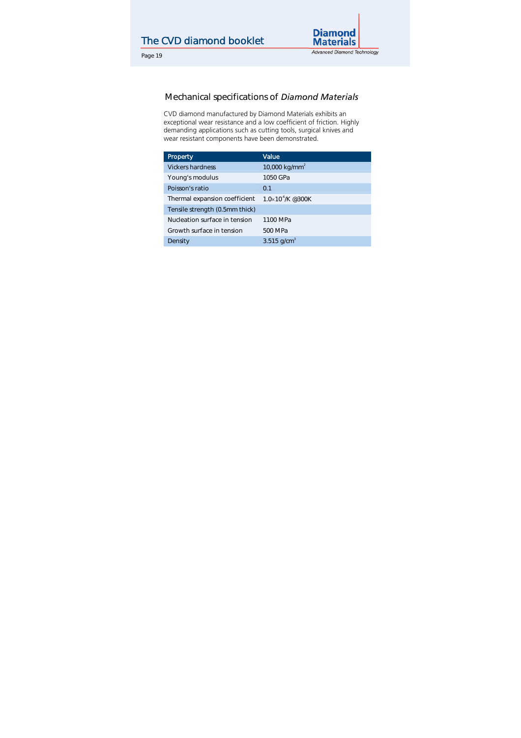

### Mechanical specifications of *Diamond Materials*

CVD diamond manufactured by Diamond Materials exhibits an exceptional wear resistance and a low coefficient of friction. Highly demanding applications such as cutting tools, surgical knives and wear resistant components have been demonstrated.

| <b>Property</b>                      | <b>Value</b>                           |
|--------------------------------------|----------------------------------------|
| <b>Vickers hardness</b>              | 10,000 kg/mm <sup>2</sup>              |
| <b>Young's modulus</b>               | <b>1050 GPa</b>                        |
| <b>Poisson's ratio</b>               | 0.1                                    |
| <b>Thermal expansion coefficient</b> | 1.0 $\times$ 10 <sup>.6</sup> /K @300K |
| Tensile strength (0.5mm thick)       |                                        |
| <b>Nucleation surface in tension</b> | <b>1100 MPa</b>                        |
| <b>Growth surface in tension</b>     | <b>500 MPa</b>                         |
| <b>Density</b>                       | $3.515$ g/cm <sup>3</sup>              |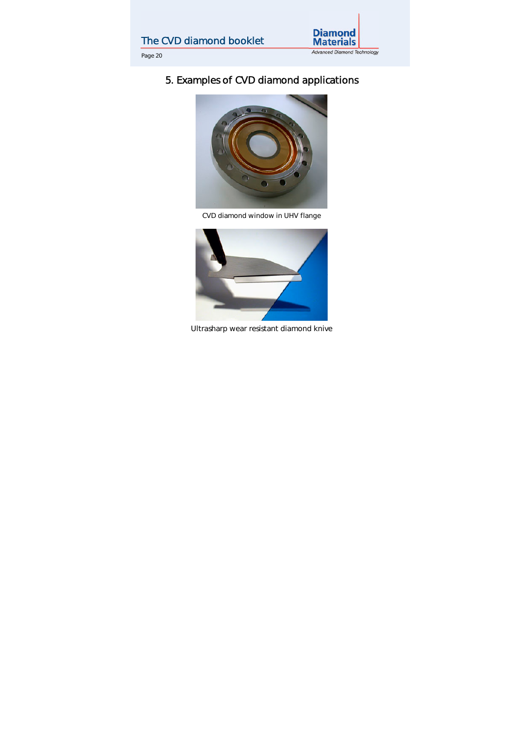



## 5. Examples of CVD diamond applications



CVD diamond window in UHV flange



Ultrasharp wear resistant diamond knive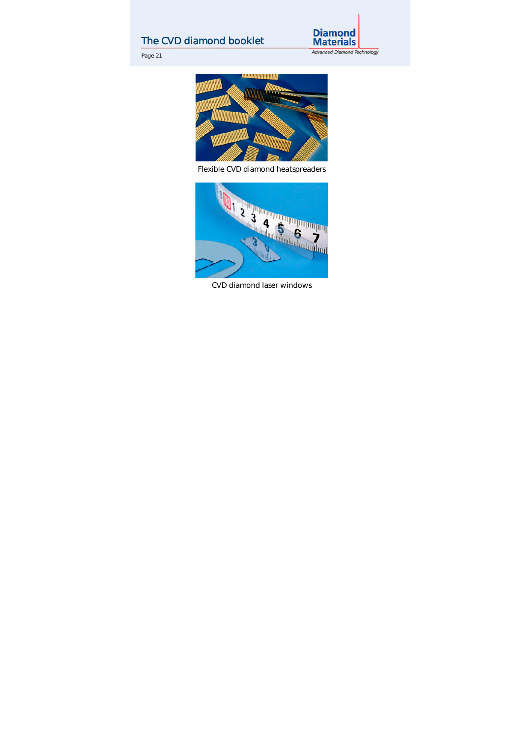

#### **Advanced Diamond Technology**

#### Page 21



Flexible CVD diamond heatspreaders



### CVD diamond laser windows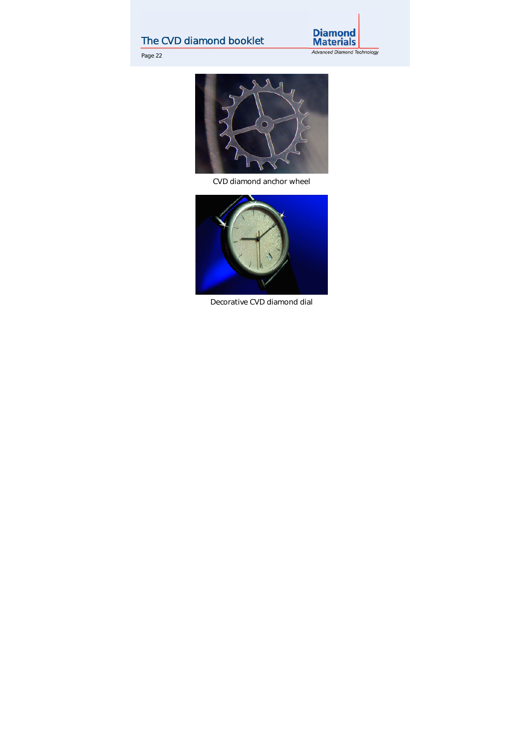

#### Advanced Diamond Technology

#### Page 22



### CVD diamond anchor wheel



#### Decorative CVD diamond dial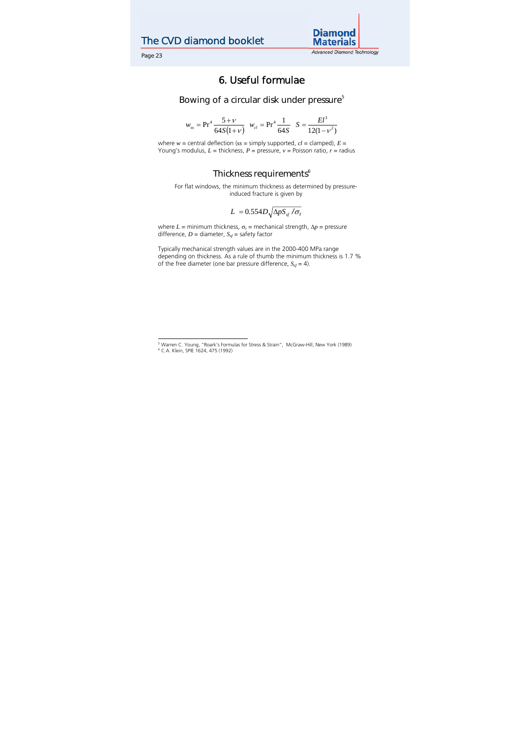

Page 23

# 6. Useful formulae

### Bowing of a circular disk under pressure<sup>5</sup>

$$
w_{ss} = \Pr^4 \frac{5 + v}{64S(1 + v)} \quad w_{cl} = \Pr^4 \frac{1}{64S} \quad S = \frac{El^3}{12(1 - v^2)}
$$

where  $w =$  central deflection ( $ss =$  simply supported,  $cl =$  clamped),  $E =$ Young's modulus,  $L =$  thickness,  $P =$  pressure,  $v =$  Poisson ratio,  $r =$  radius

### Thickness requirements<sup>6</sup>

For flat windows, the minimum thickness as determined by pressureinduced fracture is given by

$$
L = 0.554 D \sqrt{\Delta p S_{sf} / \sigma_f}
$$

where  $L =$  minimum thickness,  $\sigma_f =$  mechanical strength,  $\Delta p =$  pressure difference,  $D =$  diameter,  $S_{\text{cf}} =$  safety factor

Typically mechanical strength values are in the 2000-400 MPa range depending on thickness. As a rule of thumb the minimum thickness is 1.7 % of the free diameter (one bar pressure difference,  $S_{\text{sf}} = 4$ ).

-

<sup>&</sup>lt;sup>5</sup> Warren C. Young, "Roark's Formulas for Stress & Strain", McGraw-Hill, New York (1989)<br>6 C.A. Klein, SPIE 1624, 475 (1992)

C.A. Klein, SPIE 1624, 475 (1992)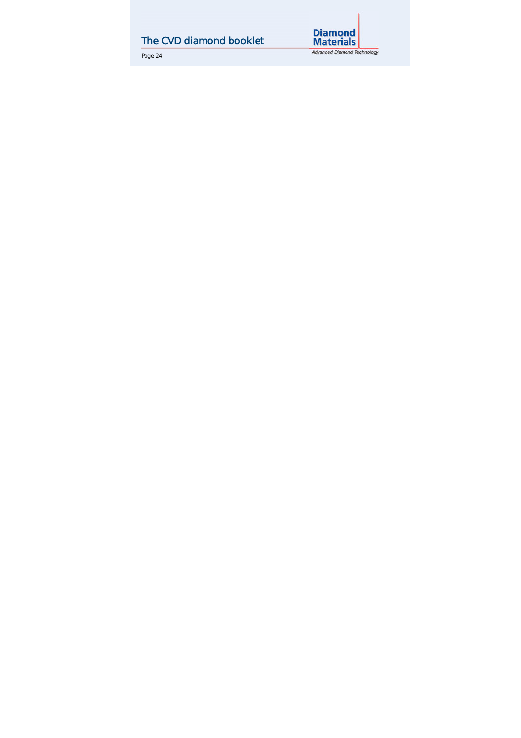

Page 24

Advanced Diamond Technology